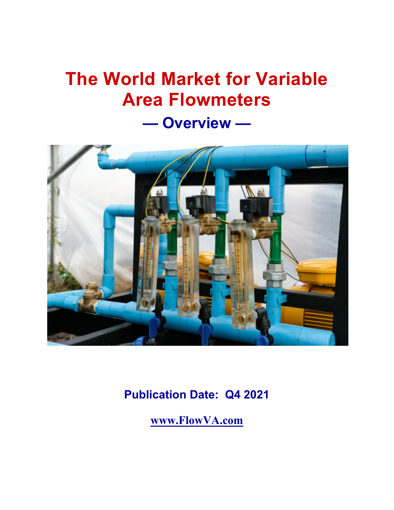# **The World Market for Variable Area Flowmeters**

**— Overview —** 



**Publication Date: Q4 2021**

**www.FlowVA.com**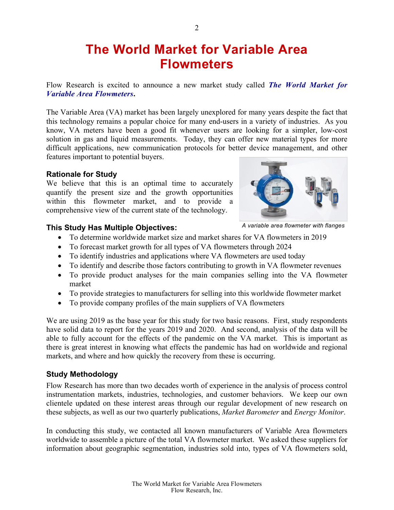# **The World Market for Variable Area Flowmeters**

Flow Research is excited to announce a new market study called *The World Market for Variable Area Flowmeters***.**

The Variable Area (VA) market has been largely unexplored for many years despite the fact that this technology remains a popular choice for many end-users in a variety of industries. As you know, VA meters have been a good fit whenever users are looking for a simpler, low-cost solution in gas and liquid measurements. Today, they can offer new material types for more difficult applications, new communication protocols for better device management, and other features important to potential buyers.

#### **Rationale for Study**

We believe that this is an optimal time to accurately quantify the present size and the growth opportunities within this flowmeter market, and to provide a comprehensive view of the current state of the technology.



#### **This Study Has Multiple Objectives:**

- *A variable area flowmeter with flanges*
- To determine worldwide market size and market shares for VA flowmeters in 2019
- To forecast market growth for all types of VA flowmeters through 2024
- To identify industries and applications where VA flowmeters are used today
- To identify and describe those factors contributing to growth in VA flowmeter revenues
- To provide product analyses for the main companies selling into the VA flowmeter market
- To provide strategies to manufacturers for selling into this worldwide flowmeter market
- To provide company profiles of the main suppliers of VA flowmeters

We are using 2019 as the base year for this study for two basic reasons. First, study respondents have solid data to report for the years 2019 and 2020. And second, analysis of the data will be able to fully account for the effects of the pandemic on the VA market. This is important as there is great interest in knowing what effects the pandemic has had on worldwide and regional markets, and where and how quickly the recovery from these is occurring.

#### **Study Methodology**

Flow Research has more than two decades worth of experience in the analysis of process control instrumentation markets, industries, technologies, and customer behaviors. We keep our own clientele updated on these interest areas through our regular development of new research on these subjects, as well as our two quarterly publications, *Market Barometer* and *Energy Monitor*.

In conducting this study, we contacted all known manufacturers of Variable Area flowmeters worldwide to assemble a picture of the total VA flowmeter market. We asked these suppliers for information about geographic segmentation, industries sold into, types of VA flowmeters sold,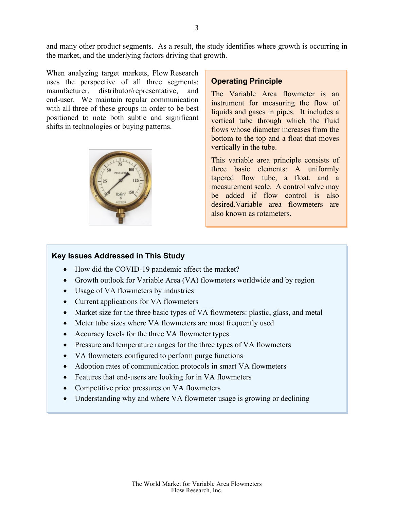and many other product segments. As a result, the study identifies where growth is occurring in the market, and the underlying factors driving that growth.

When analyzing target markets, Flow Research uses the perspective of all three segments: manufacturer, distributor/representative, and end-user. We maintain regular communication with all three of these groups in order to be best positioned to note both subtle and significant shifts in technologies or buying patterns.



#### **Operating Principle**

The Variable Area flowmeter is an instrument for measuring the flow of liquids and gases in pipes. It includes a vertical tube through which the fluid flows whose diameter increases from the bottom to the top and a float that moves vertically in the tube.

This variable area principle consists of three basic elements: A uniformly tapered flow tube, a float, and a measurement scale. A control valve may be added if flow control is also desired.Variable area flowmeters are also known as rotameters.

#### **Key Issues Addressed in This Study**

- How did the COVID-19 pandemic affect the market?
- Growth outlook for Variable Area (VA) flowmeters worldwide and by region
- Usage of VA flowmeters by industries
- Current applications for VA flowmeters
- Market size for the three basic types of VA flowmeters: plastic, glass, and metal
- Meter tube sizes where VA flowmeters are most frequently used
- Accuracy levels for the three VA flowmeter types
- Pressure and temperature ranges for the three types of VA flowmeters
- VA flowmeters configured to perform purge functions
- Adoption rates of communication protocols in smart VA flowmeters
- Features that end-users are looking for in VA flowmeters
- Competitive price pressures on VA flowmeters
- Understanding why and where VA flowmeter usage is growing or declining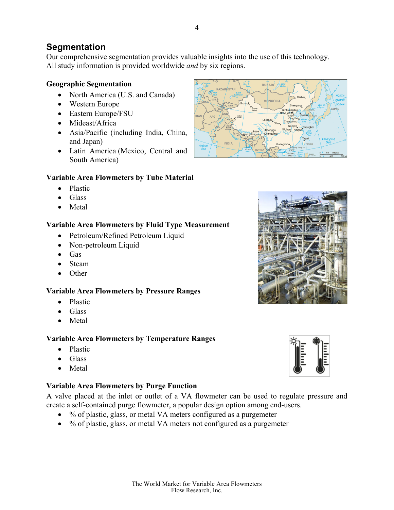# **Segmentation**

Our comprehensive segmentation provides valuable insights into the use of this technology. All study information is provided worldwide *and* by six regions.

### **Geographic Segmentation**

- North America (U.S. and Canada)
- Western Europe
- Eastern Europe/FSU
- Mideast/Africa
- Asia/Pacific (including India, China, and Japan)
- Latin America (Mexico, Central and South America)

# **Variable Area Flowmeters by Tube Material**

- Plastic
- Glass
- Metal

# **Variable Area Flowmeters by Fluid Type Measurement**

- Petroleum/Refined Petroleum Liquid
- Non-petroleum Liquid
- Gas
- Steam
- Other

# **Variable Area Flowmeters by Pressure Ranges**

- Plastic
- $\bullet$  Glass
- Metal

# **Variable Area Flowmeters by Temperature Ranges**

- Plastic
- Glass
- Metal

# **Variable Area Flowmeters by Purge Function**

A valve placed at the inlet or outlet of a VA flowmeter can be used to regulate pressure and create a self-contained purge flowmeter, a popular design option among end-users.

- % of plastic, glass, or metal VA meters configured as a purgemeter
- % of plastic, glass, or metal VA meters not configured as a purgemeter





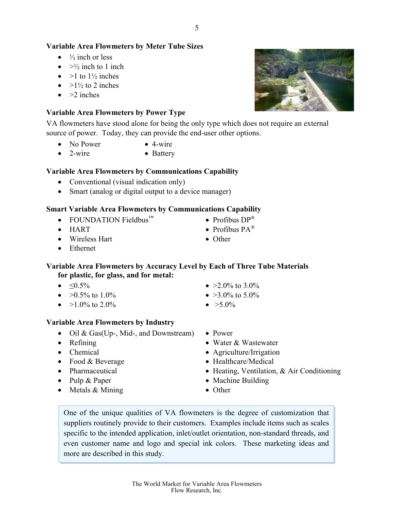#### **Variable Area Flowmeters by Meter Tube Sizes**

- $\bullet$  /<sub>2</sub> inch or less
- $\bullet$  >½ inch to 1 inch
- $\bullet$  >1 to 1<sup>1</sup>/<sub>2</sub> inches
- $\bullet$  >1½ to 2 inches
- $\bullet$  >2 inches

#### **Variable Area Flowmeters by Power Type**

VA flowmeters have stood alone for being the only type which does not require an external source of power. Today, they can provide the end-user other options.

- $\bullet$  No Power  $\bullet$  4-wire
- 2-wire Battery

#### **Variable Area Flowmeters by Communications Capability**

- Conventional (visual indication only)
- Smart (analog or digital output to a device manager)

#### **Smart Variable Area Flowmeters by Communications Capability**

- FOUNDATION Fieldbus<sup>™</sup> Profibus  $DP^{\mathcal{P}}$
- HART  $\bullet$  Profibus PA<sup>®</sup>
- Wireless Hart Other
- Ethernet

#### **Variable Area Flowmeters by Accuracy Level by Each of Three Tube Materials for plastic, for glass, and for metal:**

- 
- $\bullet$  >0.5% to 1.0%  $\bullet$  >3.0% to 5.0%
- $\bullet$  >1.0% to 2.0%  $\bullet$  >5.0%

#### **Variable Area Flowmeters by Industry**

- Oil & Gas(Up-, Mid-, and Downstream) Power
- 
- 
- Food & Beverage  $\bullet$  Healthcare/Medical
- 
- 
- Metals & Mining Other
- $\bullet$   $\leq 0.5\%$   $\bullet$   $\geq 2.0\%$  to 3.0%
	-
	-
	-
- Refining values are well water & Wastewater
- Chemical Agriculture/Irrigation
	-
- Pharmaceutical Heating, Ventilation, & Air Conditioning
- Pulp & Paper **Capaciter Accept Capaciter Accept C** Machine Building
	-

One of the unique qualities of VA flowmeters is the degree of customization that suppliers routinely provide to their customers. Examples include items such as scales specific to the intended application, inlet/outlet orientation, non-standard threads, and even customer name and logo and special ink colors. These marketing ideas and more are described in this study.



- 
- 
- 
-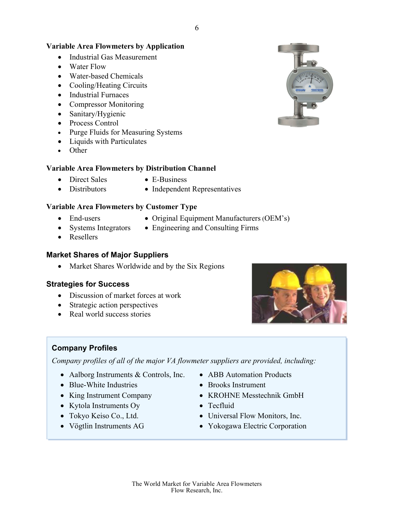#### **Variable Area Flowmeters by Application**

- Industrial Gas Measurement
- Water Flow
- Water-based Chemicals
- Cooling/Heating Circuits
- Industrial Furnaces
- Compressor Monitoring
- Sanitary/Hygienic
- Process Control
- Purge Fluids for Measuring Systems
- Liquids with Particulates
- Other

#### **Variable Area Flowmeters by Distribution Channel**

- Direct Sales E-Business
	-
- Distributors Independent Representatives

#### **Variable Area Flowmeters by Customer Type**

- 
- End-users Original Equipment Manufacturers (OEM's)
- 
- Systems Integrators Engineering and Consulting Firms
- Resellers

#### **Market Shares of Major Suppliers**

• Market Shares Worldwide and by the Six Regions

#### **Strategies for Success**

- Discussion of market forces at work
- Strategic action perspectives
- Real world success stories



#### **Company Profiles**

*Company profiles of all of the major VA flowmeter suppliers are provided, including:* 

- Aalborg Instruments & Controls, Inc. ABB Automation Products
- Blue-White Industries Brooks Instrument
- 
- Kytola Instruments Oy Tecfluid
- 
- 
- 
- 
- King Instrument Company KROHNE Messtechnik GmbH
	-
- Tokyo Keiso Co., Ltd. Universal Flow Monitors, Inc.
- Vögtlin Instruments AG Yokogawa Electric Corporation

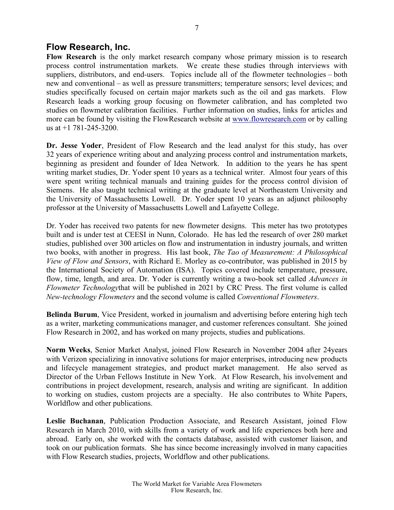# **Flow Research, Inc.**

**Flow Research** is the only market research company whose primary mission is to research process control instrumentation markets. We create these studies through interviews with suppliers, distributors, and end-users. Topics include all of the flowmeter technologies – both new and conventional – as well as pressure transmitters; temperature sensors; level devices; and studies specifically focused on certain major markets such as the oil and gas markets. Flow Research leads a working group focusing on flowmeter calibration, and has completed two studies on flowmeter calibration facilities. Further information on studies, links for articles and more can be found by visiting the FlowResearch website at www.flowresearch.com or by calling us at +1 781-245-3200.

**Dr. Jesse Yoder**, President of Flow Research and the lead analyst for this study, has over 32 years of experience writing about and analyzing process control and instrumentation markets, beginning as president and founder of Idea Network. In addition to the years he has spent writing market studies, Dr. Yoder spent 10 years as a technical writer. Almost four years of this were spent writing technical manuals and training guides for the process control division of Siemens. He also taught technical writing at the graduate level at Northeastern University and the University of Massachusetts Lowell. Dr. Yoder spent 10 years as an adjunct philosophy professor at the University of Massachusetts Lowell and Lafayette College.

Dr. Yoder has received two patents for new flowmeter designs. This meter has two prototypes built and is under test at CEESI in Nunn, Colorado. He has led the research of over 280 market studies, published over 300 articles on flow and instrumentation in industry journals, and written two books, with another in progress. His last book, *The Tao of Measurement: A Philosophical View of Flow and Sensors*, with Richard E. Morley as co-contributor, was published in 2015 by the International Society of Automation (ISA). Topics covered include temperature, pressure, flow, time, length, and area. Dr. Yoder is currently writing a two-book set called *Advances in Flowmeter Technology*that will be published in 2021 by CRC Press. The first volume is called *New-technology Flowmeters* and the second volume is called *Conventional Flowmeters*.

**Belinda Burum**, Vice President, worked in journalism and advertising before entering high tech as a writer, marketing communications manager, and customer references consultant. She joined Flow Research in 2002, and has worked on many projects, studies and publications.

**Norm Weeks**, Senior Market Analyst, joined Flow Research in November 2004 after 24years with Verizon specializing in innovative solutions for major enterprises, introducing new products and lifecycle management strategies, and product market management. He also served as Director of the Urban Fellows Institute in New York. At Flow Research, his involvement and contributions in project development, research, analysis and writing are significant. In addition to working on studies, custom projects are a specialty. He also contributes to White Papers, Worldflow and other publications.

**Leslie Buchanan**, Publication Production Associate, and Research Assistant, joined Flow Research in March 2010, with skills from a variety of work and life experiences both here and abroad. Early on, she worked with the contacts database, assisted with customer liaison, and took on our publication formats. She has since become increasingly involved in many capacities with Flow Research studies, projects, Worldflow and other publications.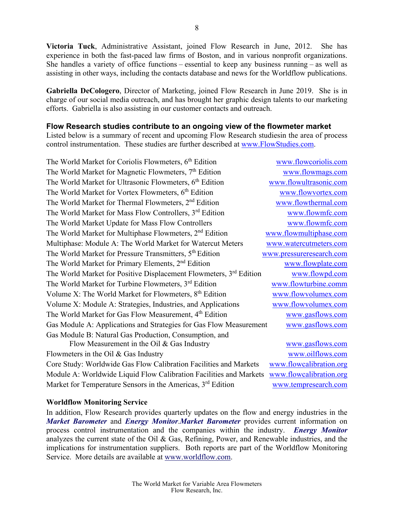**Victoria Tuck**, Administrative Assistant, joined Flow Research in June, 2012. She has experience in both the fast-paced law firms of Boston, and in various nonprofit organizations. She handles a variety of office functions – essential to keep any business running – as well as assisting in other ways, including the contacts database and news for the Worldflow publications.

**Gabriella DeCologero**, Director of Marketing, joined Flow Research in June 2019. She is in charge of our social media outreach, and has brought her graphic design talents to our marketing efforts. Gabriella is also assisting in our customer contacts and outreach.

#### **Flow Research studies contribute to an ongoing view of the flowmeter market**

Listed below is a summary of recent and upcoming Flow Research studiesin the area of process control instrumentation. These studies are further described at www.FlowStudies.com.

| The World Market for Coriolis Flowmeters, 6 <sup>th</sup> Edition              | www.flowcoriolis.com     |
|--------------------------------------------------------------------------------|--------------------------|
| The World Market for Magnetic Flowmeters, 7 <sup>th</sup> Edition              | www.flowmags.com         |
| The World Market for Ultrasonic Flowmeters, 6 <sup>th</sup> Edition            | www.flowultrasonic.com   |
| The World Market for Vortex Flowmeters, 6 <sup>th</sup> Edition                | www.flowvortex.com       |
| The World Market for Thermal Flowmeters, 2 <sup>nd</sup> Edition               | www.flowthermal.com      |
| The World Market for Mass Flow Controllers, 3rd Edition                        | www.flowmfc.com          |
| The World Market Update for Mass Flow Controllers                              | www.flowmfc.com          |
| The World Market for Multiphase Flowmeters, 2 <sup>nd</sup> Edition            | www.flowmultiphase.com   |
| Multiphase: Module A: The World Market for Watercut Meters                     | www.watercutmeters.com   |
| The World Market for Pressure Transmitters, 5 <sup>th</sup> Edition            | www.pressureresearch.com |
| The World Market for Primary Elements, 2 <sup>nd</sup> Edition                 | www.flowplate.com        |
| The World Market for Positive Displacement Flowmeters, 3 <sup>rd</sup> Edition | www.flowpd.com           |
| The World Market for Turbine Flowmeters, 3rd Edition                           | www.flowturbine.comm     |
| Volume X: The World Market for Flowmeters, $8th$ Edition                       | www.flowvolumex.com      |
| Volume X: Module A: Strategies, Industries, and Applications                   | www.flowvolumex.com      |
| The World Market for Gas Flow Measurement, 4 <sup>th</sup> Edition             | www.gasflows.com         |
| Gas Module A: Applications and Strategies for Gas Flow Measurement             | www.gasflows.com         |
| Gas Module B: Natural Gas Production, Consumption, and                         |                          |
| Flow Measurement in the Oil $& Gas$ Industry                                   | www.gasflows.com         |
| Flowmeters in the Oil & Gas Industry                                           | www.oilflows.com         |
| Core Study: Worldwide Gas Flow Calibration Facilities and Markets              | www.flowcalibration.org  |
| Module A: Worldwide Liquid Flow Calibration Facilities and Markets             | www.flowcalibration.org  |
| Market for Temperature Sensors in the Americas, 3 <sup>rd</sup> Edition        | www.tempresearch.com     |

#### **Worldflow Monitoring Service**

In addition, Flow Research provides quarterly updates on the flow and energy industries in the *Market Barometer* and *Energy Monitor*.*Market Barometer* provides current information on process control instrumentation and the companies within the industry. *Energy Monitor* analyzes the current state of the Oil & Gas, Refining, Power, and Renewable industries, and the implications for instrumentation suppliers. Both reports are part of the Worldflow Monitoring Service. More details are available at www.worldflow.com.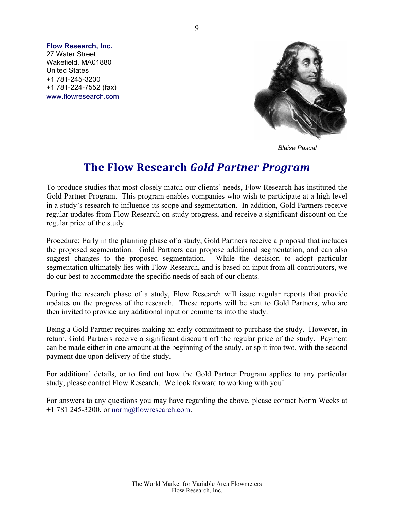**Flow Research, Inc.**  27 Water Street Wakefield, MA01880 United States +1 781-245-3200 +1 781-224-7552 (fax) www.flowresearch.com



*Blaise Pascal*

# **The Flow Research** *Gold Partner Program*

To produce studies that most closely match our clients' needs, Flow Research has instituted the Gold Partner Program. This program enables companies who wish to participate at a high level in a study's research to influence its scope and segmentation. In addition, Gold Partners receive regular updates from Flow Research on study progress, and receive a significant discount on the regular price of the study.

Procedure: Early in the planning phase of a study, Gold Partners receive a proposal that includes the proposed segmentation. Gold Partners can propose additional segmentation, and can also suggest changes to the proposed segmentation. While the decision to adopt particular segmentation ultimately lies with Flow Research, and is based on input from all contributors, we do our best to accommodate the specific needs of each of our clients.

During the research phase of a study, Flow Research will issue regular reports that provide updates on the progress of the research. These reports will be sent to Gold Partners, who are then invited to provide any additional input or comments into the study.

Being a Gold Partner requires making an early commitment to purchase the study. However, in return, Gold Partners receive a significant discount off the regular price of the study. Payment can be made either in one amount at the beginning of the study, or split into two, with the second payment due upon delivery of the study.

For additional details, or to find out how the Gold Partner Program applies to any particular study, please contact Flow Research. We look forward to working with you!

For answers to any questions you may have regarding the above, please contact Norm Weeks at  $+1$  781 245-3200, or norm@flowresearch.com.